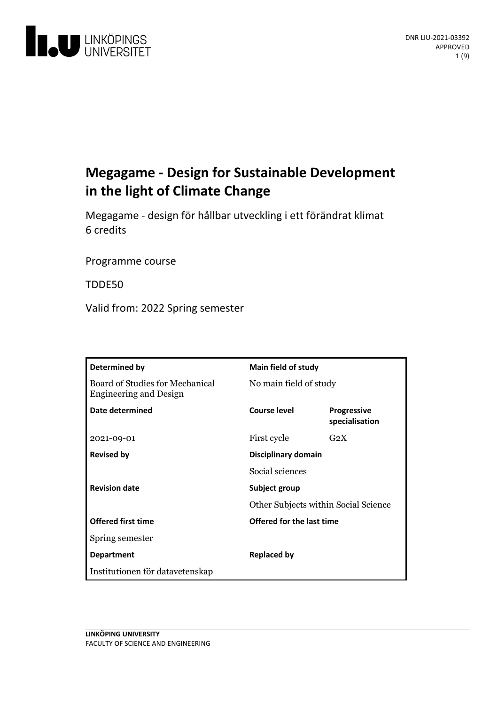

# **Megagame - Design for Sustainable Development in the light of Climate Change**

Megagame - design för hållbar utvecklingi ett förändrat klimat 6 credits

Programme course

TDDE50

Valid from: 2022 Spring semester

| Determined by                                                    | <b>Main field of study</b>                            |                                      |
|------------------------------------------------------------------|-------------------------------------------------------|--------------------------------------|
| Board of Studies for Mechanical<br><b>Engineering and Design</b> | No main field of study                                |                                      |
| Date determined                                                  | Course level                                          | <b>Progressive</b><br>specialisation |
| 2021-09-01                                                       | First cycle                                           | $G_2X$                               |
| <b>Revised by</b>                                                | <b>Disciplinary domain</b><br>Social sciences         |                                      |
|                                                                  |                                                       |                                      |
| <b>Revision date</b>                                             | Subject group<br>Other Subjects within Social Science |                                      |
|                                                                  |                                                       |                                      |
| <b>Offered first time</b>                                        | Offered for the last time                             |                                      |
| Spring semester                                                  |                                                       |                                      |
| <b>Department</b>                                                | <b>Replaced by</b>                                    |                                      |
| Institutionen för datavetenskap                                  |                                                       |                                      |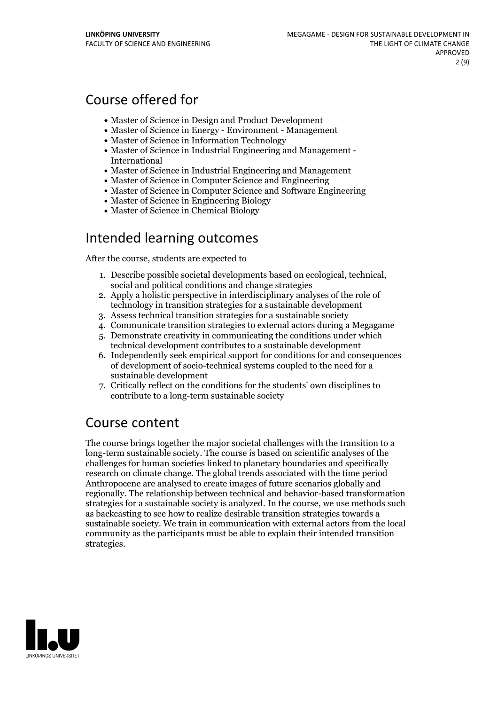## Course offered for

- Master of Science in Design and Product Development
- Master of Science in Energy Environment Management
- Master of Science in Information Technology
- Master of Science in Industrial Engineering and Management International
- Master of Science in Industrial Engineering and Management
- Master of Science in Computer Science and Engineering
- Master of Science in Computer Science and Software Engineering
- Master of Science in Engineering Biology
- Master of Science in Chemical Biology

## Intended learning outcomes

After the course, students are expected to

- 1. Describe possible societal developments based on ecological, technical, social and political conditions and change strategies
- 2. Apply a holistic perspective in interdisciplinary analyses of the role of technology in transition strategies for a sustainable development
- 3. Assess technical transition strategies for a sustainable society
- 4. Communicate transition strategies to external actors during a Megagame
- 5. Demonstrate creativity in communicating the conditions under which technical development contributes to a sustainable development
- 6. Independently seek empirical support for conditions for and consequences of development of socio-technical systems coupled to the need for a sustainable development
- 7. Critically reflect on the conditions for the students' own disciplines to contribute to a long-term sustainable society

## Course content

The course brings together the major societal challenges with the transition to a long-term sustainable society. The course is based on scientific analyses of the challenges for human societies linked to planetary boundaries and specifically research on climate change. The global trends associated with the time period Anthropocene are analysed to create images of future scenarios globally and regionally. The relationship between technical and behavior-based transformation strategies for a sustainable society is analyzed. In the course, we use methods such as backcasting to see how to realize desirable transition strategies towards a sustainable society. We train in communication with external actors from the local community as the participants must be able to explain their intended transition strategies.

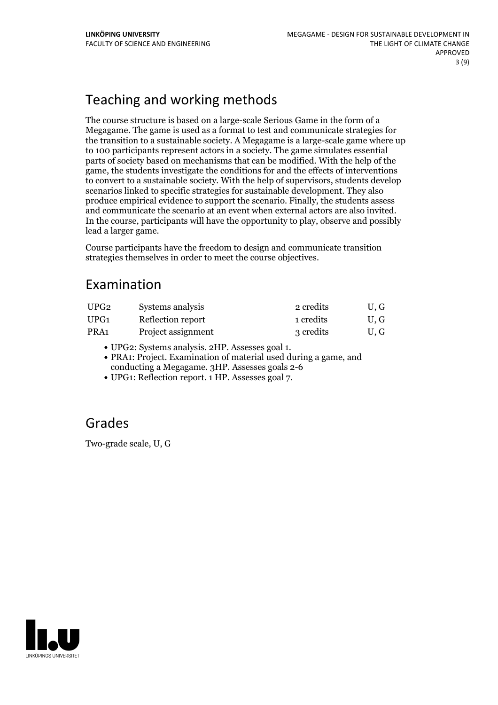# Teaching and working methods

The course structure is based on a large-scale Serious Game in the form of a Megagame. The game is used as a format to test and communicate strategies for the transition to a sustainable society. A Megagame is a large-scale game where up to 100 participants represent actors in a society. The game simulates essential parts of society based on mechanisms that can be modified. With the help of the game, the students investigate the conditions for and the effects of interventions to convert to a sustainable society. With the help of supervisors, students develop scenarios linked to specific strategies for sustainable development. They also produce empirical evidence to support the scenario. Finally, the students assess and communicate the scenario at an event when external actors are also invited. In the course, participants will have the opportunity to play, observe and possibly lead a larger game.

Course participants have the freedom to design and communicate transition strategies themselves in order to meet the course objectives.

## Examination

| UPG2 | Systems analysis   | 2 credits | U.G |
|------|--------------------|-----------|-----|
| UPG1 | Reflection report  | 1 credits | U.G |
| PRA1 | Project assignment | 3 credits | U.G |

- 
- UPG2: Systems analysis. 2HP. Assesses goal 1. PRA1: Project. Examination of material used during <sup>a</sup> game, and conducting a Megagame. 3HP. Assesses goals 2-6
- UPG1: Reflection report. 1 HP. Assesses goal 7.

## Grades

Two-grade scale, U, G

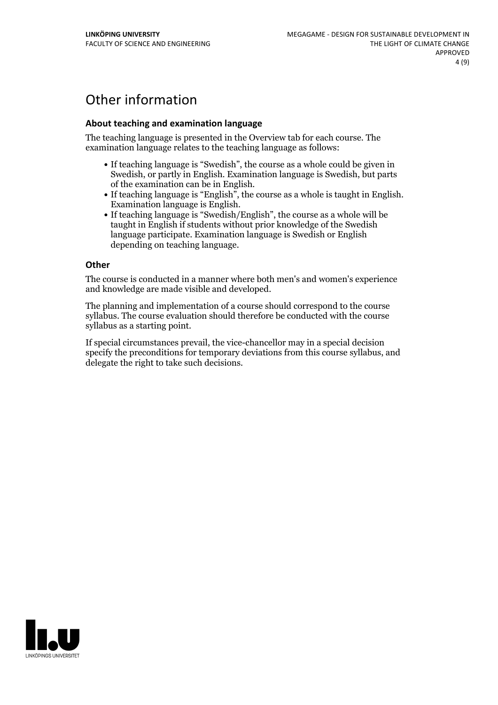# Other information

## **About teaching and examination language**

The teaching language is presented in the Overview tab for each course. The examination language relates to the teaching language as follows:

- If teaching language is "Swedish", the course as a whole could be given in Swedish, or partly in English. Examination language is Swedish, but parts
- of the examination can be in English.<br>
If teaching language is "English", the course as a whole is taught in English.<br>
Examination language is English.<br>
If teaching language is "Swedish/English", the course as a whole will
- taught in English if students without prior knowledge of the Swedish language participate. Examination language is Swedish or English depending on teaching language.

#### **Other**

The course is conducted in a manner where both men's and women's experience and knowledge are made visible and developed.

The planning and implementation of a course should correspond to the course syllabus. The course evaluation should therefore be conducted with the course syllabus as a starting point.

If special circumstances prevail, the vice-chancellor may in a special decision specify the preconditions for temporary deviations from this course syllabus, and delegate the right to take such decisions.

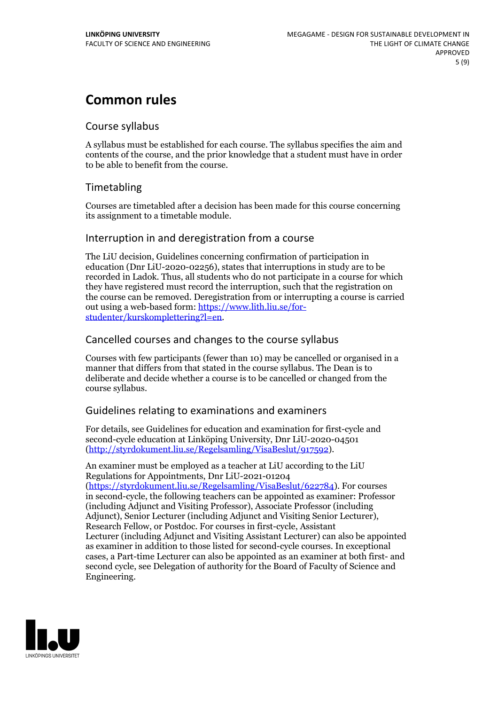# **Common rules**

## Course syllabus

A syllabus must be established for each course. The syllabus specifies the aim and contents of the course, and the prior knowledge that a student must have in order to be able to benefit from the course.

## Timetabling

Courses are timetabled after a decision has been made for this course concerning its assignment to a timetable module.

## Interruption in and deregistration from a course

The LiU decision, Guidelines concerning confirmation of participation in education (Dnr LiU-2020-02256), states that interruptions in study are to be recorded in Ladok. Thus, all students who do not participate in a course for which they have registered must record the interruption, such that the registration on the course can be removed. Deregistration from or interrupting a course is carried out using <sup>a</sup> web-based form: https://www.lith.liu.se/for- [studenter/kurskomplettering?l=en.](https://www.lith.liu.se/for-studenter/kurskomplettering?l=en)

## Cancelled coursesand changes to the course syllabus

Courses with few participants (fewer than 10) may be cancelled or organised in a manner that differs from that stated in the course syllabus. The Dean is to deliberate and decide whether a course is to be cancelled or changed from the course syllabus.

## Guidelines relating to examinations and examiners

For details, see Guidelines for education and examination for first-cycle and second-cycle education at Linköping University, Dnr LiU-2020-04501 [\(http://styrdokument.liu.se/Regelsamling/VisaBeslut/917592\)](http://styrdokument.liu.se/Regelsamling/VisaBeslut/917592).

An examiner must be employed as a teacher at LiU according to the LiU Regulations for Appointments, Dnr LiU-2021-01204 [\(https://styrdokument.liu.se/Regelsamling/VisaBeslut/622784](https://styrdokument.liu.se/Regelsamling/VisaBeslut/622784)). For courses in second-cycle, the following teachers can be appointed as examiner: Professor (including Adjunct and Visiting Professor), Associate Professor (including Adjunct), Senior Lecturer (including Adjunct and Visiting Senior Lecturer), Research Fellow, or Postdoc. For courses in first-cycle, Assistant Lecturer (including Adjunct and Visiting Assistant Lecturer) can also be appointed as examiner in addition to those listed for second-cycle courses. In exceptional cases, a Part-time Lecturer can also be appointed as an examiner at both first- and second cycle, see Delegation of authority for the Board of Faculty of Science and Engineering.

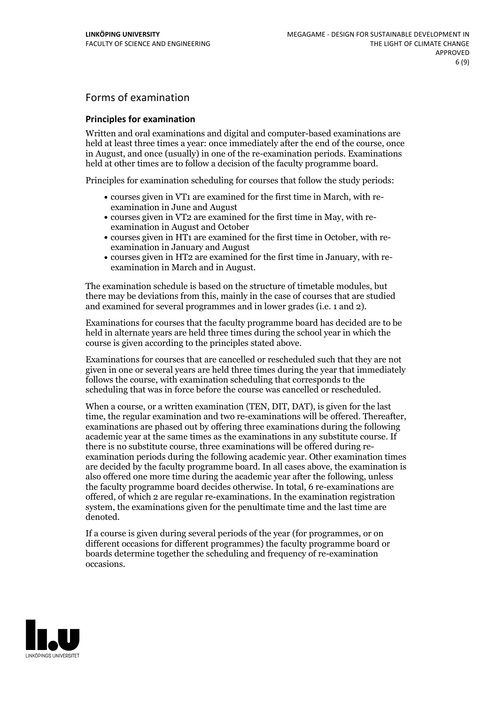## Forms of examination

### **Principles for examination**

Written and oral examinations and digital and computer-based examinations are held at least three times a year: once immediately after the end of the course, once in August, and once (usually) in one of the re-examination periods. Examinations held at other times are to follow a decision of the faculty programme board.

Principles for examination scheduling for courses that follow the study periods:

- courses given in VT1 are examined for the first time in March, with re-examination in June and August
- courses given in VT2 are examined for the first time in May, with re-examination in August and October
- courses given in HT1 are examined for the first time in October, with re-examination in January and August
- courses given in HT2 are examined for the first time in January, with re-examination in March and in August.

The examination schedule is based on the structure of timetable modules, but there may be deviations from this, mainly in the case of courses that are studied and examined for several programmes and in lower grades (i.e. 1 and 2).

Examinations for courses that the faculty programme board has decided are to be held in alternate years are held three times during the school year in which the course is given according to the principles stated above.

Examinations for courses that are cancelled orrescheduled such that they are not given in one or several years are held three times during the year that immediately follows the course, with examination scheduling that corresponds to the scheduling that was in force before the course was cancelled or rescheduled.

When a course, or a written examination (TEN, DIT, DAT), is given for the last time, the regular examination and two re-examinations will be offered. Thereafter, examinations are phased out by offering three examinations during the following academic year at the same times as the examinations in any substitute course. If there is no substitute course, three examinations will be offered during re- examination periods during the following academic year. Other examination times are decided by the faculty programme board. In all cases above, the examination is also offered one more time during the academic year after the following, unless the faculty programme board decides otherwise. In total, 6 re-examinations are offered, of which 2 are regular re-examinations. In the examination registration system, the examinations given for the penultimate time and the last time are denoted.

If a course is given during several periods of the year (for programmes, or on different occasions for different programmes) the faculty programme board or boards determine together the scheduling and frequency of re-examination occasions.

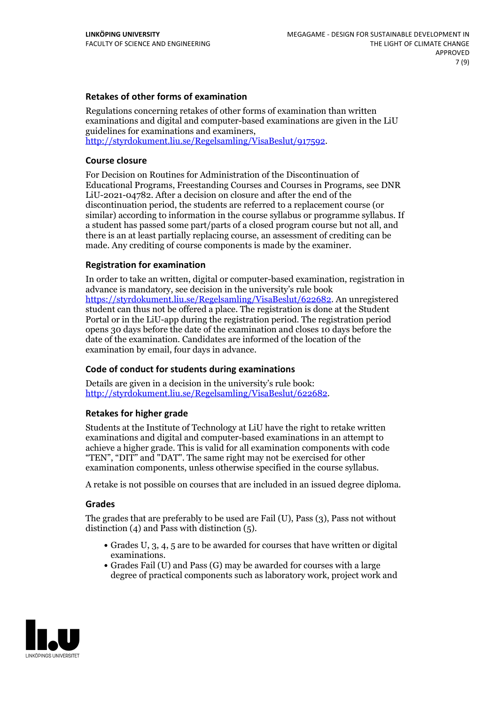### **Retakes of other forms of examination**

Regulations concerning retakes of other forms of examination than written examinations and digital and computer-based examinations are given in the LiU guidelines for examinations and examiners, [http://styrdokument.liu.se/Regelsamling/VisaBeslut/917592.](http://styrdokument.liu.se/Regelsamling/VisaBeslut/917592)

#### **Course closure**

For Decision on Routines for Administration of the Discontinuation of Educational Programs, Freestanding Courses and Courses in Programs, see DNR LiU-2021-04782. After a decision on closure and after the end of the discontinuation period, the students are referred to a replacement course (or similar) according to information in the course syllabus or programme syllabus. If a student has passed some part/parts of a closed program course but not all, and there is an at least partially replacing course, an assessment of crediting can be made. Any crediting of course components is made by the examiner.

#### **Registration for examination**

In order to take an written, digital or computer-based examination, registration in advance is mandatory, see decision in the university's rule book [https://styrdokument.liu.se/Regelsamling/VisaBeslut/622682.](https://styrdokument.liu.se/Regelsamling/VisaBeslut/622682) An unregistered student can thus not be offered a place. The registration is done at the Student Portal or in the LiU-app during the registration period. The registration period opens 30 days before the date of the examination and closes 10 days before the date of the examination. Candidates are informed of the location of the examination by email, four days in advance.

### **Code of conduct for students during examinations**

Details are given in a decision in the university's rule book: <http://styrdokument.liu.se/Regelsamling/VisaBeslut/622682>.

#### **Retakes for higher grade**

Students at the Institute of Technology at LiU have the right to retake written examinations and digital and computer-based examinations in an attempt to achieve a higher grade. This is valid for all examination components with code "TEN", "DIT" and "DAT". The same right may not be exercised for other examination components, unless otherwise specified in the course syllabus.

A retake is not possible on courses that are included in an issued degree diploma.

#### **Grades**

The grades that are preferably to be used are Fail (U), Pass (3), Pass not without distinction  $(4)$  and Pass with distinction  $(5)$ .

- Grades U, 3, 4, 5 are to be awarded for courses that have written or digital examinations.<br>• Grades Fail (U) and Pass (G) may be awarded for courses with a large
- degree of practical components such as laboratory work, project work and

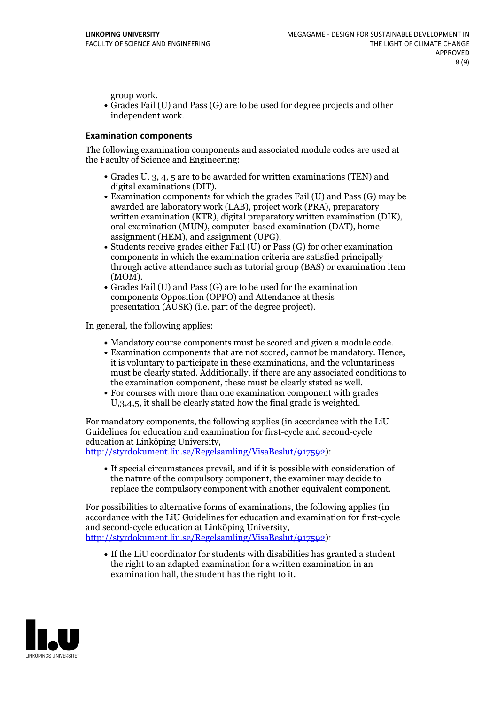group work.<br>• Grades Fail (U) and Pass (G) are to be used for degree projects and other independent work.

#### **Examination components**

The following examination components and associated module codes are used at the Faculty of Science and Engineering:

- Grades U, 3, 4, 5 are to be awarded for written examinations (TEN) and
- digital examinations (DIT).<br>• Examination components for which the grades Fail (U) and Pass (G) may be awarded are laboratory work (LAB), project work (PRA), preparatory written examination (KTR), digital preparatory written examination (DIK), oral examination (MUN), computer-based examination (DAT), home
- assignment (HEM), and assignment (UPG).<br>• Students receive grades either Fail (U) or Pass (G) for other examination components in which the examination criteria are satisfied principally through active attendance such as tutorial group (BAS) or examination item
- (MOM).<br>• Grades Fail (U) and Pass (G) are to be used for the examination components Opposition (OPPO) and Attendance at thesis presentation (AUSK) (i.e. part of the degree project).

In general, the following applies:

- 
- Mandatory course components must be scored and given <sup>a</sup> module code. Examination components that are not scored, cannot be mandatory. Hence, it is voluntary to participate in these examinations, and the voluntariness must be clearly stated. Additionally, if there are any associated conditions to
- the examination component, these must be clearly stated as well.<br>• For courses with more than one examination component with grades U,3,4,5, it shall be clearly stated how the final grade is weighted.

For mandatory components, the following applies (in accordance with the LiU Guidelines for education and examination for first-cycle and second-cycle education at Linköping University,<br>[http://styrdokument.liu.se/Regelsamling/VisaBeslut/917592\)](http://styrdokument.liu.se/Regelsamling/VisaBeslut/917592):

If special circumstances prevail, and if it is possible with consideration of the nature of the compulsory component, the examiner may decide to replace the compulsory component with another equivalent component.

For possibilities to alternative forms of examinations, the following applies (in accordance with the LiU Guidelines for education and examination for first-cycle [http://styrdokument.liu.se/Regelsamling/VisaBeslut/917592\)](http://styrdokument.liu.se/Regelsamling/VisaBeslut/917592):

If the LiU coordinator for students with disabilities has granted a student the right to an adapted examination for a written examination in an examination hall, the student has the right to it.